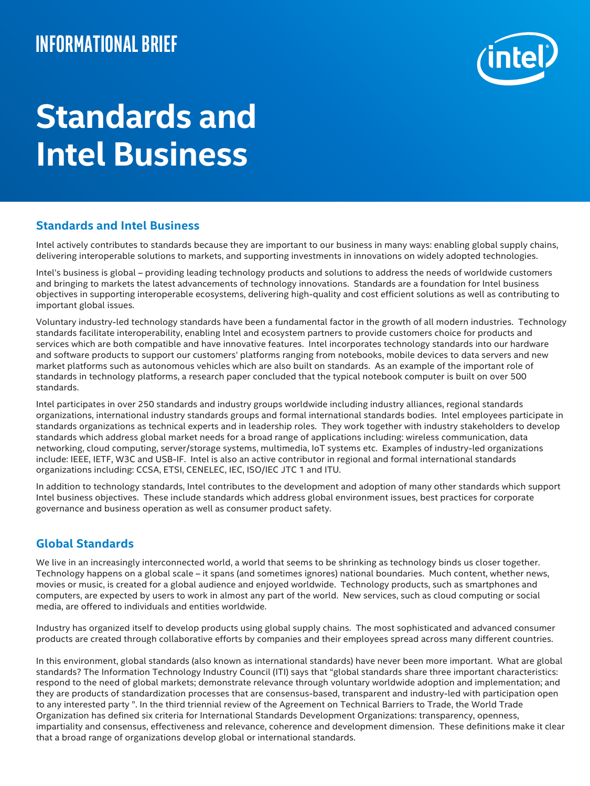# **Informational brief**



# **Standards and Intel Business**

### **Standards and Intel Business**

Intel actively contributes to standards because they are important to our business in many ways: enabling global supply chains, delivering interoperable solutions to markets, and supporting investments in innovations on widely adopted technologies.

Intel's business is global – providing leading technology products and solutions to address the needs of worldwide customers and bringing to markets the latest advancements of technology innovations. Standards are a foundation for Intel business objectives in supporting interoperable ecosystems, delivering high-quality and cost efficient solutions as well as contributing to important global issues.

Voluntary industry-led technology standards have been a fundamental factor in the growth of all modern industries. Technology standards facilitate interoperability, enabling Intel and ecosystem partners to provide customers choice for products and services which are both compatible and have innovative features. Intel incorporates technology standards into our hardware and software products to support our customers' platforms ranging from notebooks, mobile devices to data servers and new market platforms such as autonomous vehicles which are also built on standards. As an example of the important role of standards in technology platforms, a research paper concluded that the typical notebook computer is built on over 500 standards.

Intel participates in over 250 standards and industry groups worldwide including industry alliances, regional standards organizations, international industry standards groups and formal international standards bodies. Intel employees participate in standards organizations as technical experts and in leadership roles. They work together with industry stakeholders to develop standards which address global market needs for a broad range of applications including: wireless communication, data networking, cloud computing, server/storage systems, multimedia, IoT systems etc. Examples of industry-led organizations include: IEEE, IETF, W3C and USB-IF. Intel is also an active contributor in regional and formal international standards organizations including: CCSA, ETSI, CENELEC, IEC, ISO/IEC JTC 1 and ITU.

In addition to technology standards, Intel contributes to the development and adoption of many other standards which support Intel business objectives. These include standards which address global environment issues, best practices for corporate governance and business operation as well as consumer product safety.

## **Global Standards**

We live in an increasingly interconnected world, a world that seems to be shrinking as technology binds us closer together. Technology happens on a global scale – it spans (and sometimes ignores) national boundaries. Much content, whether news, movies or music, is created for a global audience and enjoyed worldwide. Technology products, such as smartphones and computers, are expected by users to work in almost any part of the world. New services, such as cloud computing or social media, are offered to individuals and entities worldwide.

Industry has organized itself to develop products using global supply chains. The most sophisticated and advanced consumer products are created through collaborative efforts by companies and their employees spread across many different countries.

In this environment, global standards (also known as international standards) have never been more important. What are global standards? The Information Technology Industry Council (ITI) says that "global standards share three important characteristics: respond to the need of global markets; demonstrate relevance through voluntary worldwide adoption and implementation; and they are products of standardization processes that are consensus-based, transparent and industry-led with participation open to any interested party ". In the third triennial review of the Agreement on Technical Barriers to Trade, the World Trade Organization has defined six criteria for International Standards Development Organizations: transparency, openness, impartiality and consensus, effectiveness and relevance, coherence and development dimension. These definitions make it clear that a broad range of organizations develop global or international standards.